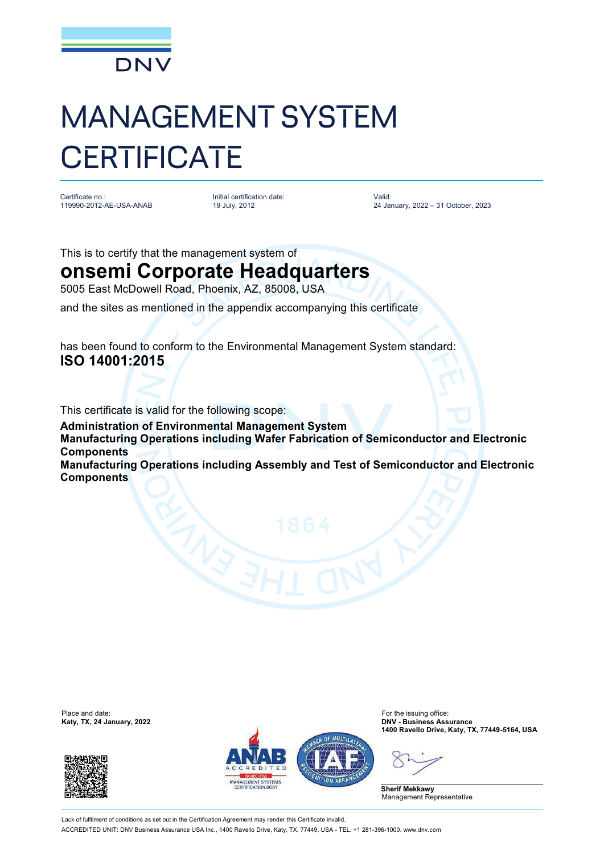

## MANAGEMENT SYSTEM **CERTIFICATE**

Certificate no.: 119990-2012-AE-USA-ANAB Initial certification date: 19 July, 2012

Valid: 24 January, 2022 – 31 October, 2023

This is to certify that the management system of

## **onsemi Corporate Headquarters**

5005 East McDowell Road, Phoenix, AZ, 85008, USA

and the sites as mentioned in the appendix accompanying this certificate

has been found to conform to the Environmental Management System standard: **ISO 14001:2015**

This certificate is valid for the following scope:

**Administration of Environmental Management System Manufacturing Operations including Wafer Fabrication of Semiconductor and Electronic Components Manufacturing Operations including Assembly and Test of Semiconductor and Electronic Components**

Place and date:<br>Katy, TX, 24 January, 2022





For the issuing office:<br>**DNV - Business Assurance 1400 Ravello Drive, Katy, TX, 77449-5164, USA**

**Sherif Mekkawy** Management Representative

Lack of fulfilment of conditions as set out in the Certification Agreement may render this Certificate invalid ACCREDITED UNIT: DNV Business Assurance USA Inc., 1400 Ravello Drive, Katy, TX, 77449, USA - TEL: +1 281-396-1000. [www.dnv.com](http://www.dnv.com)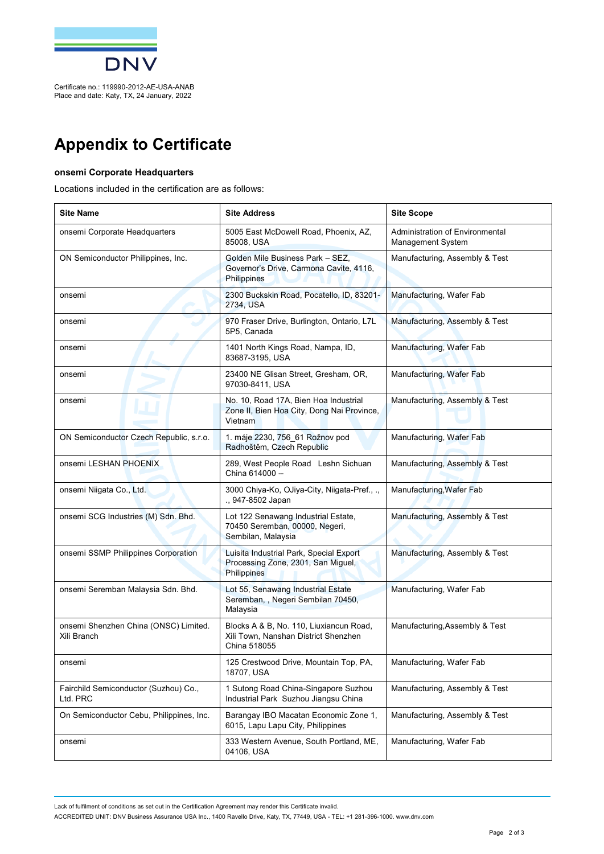

## **Appendix to Certificate**

## **onsemi Corporate Headquarters**

Locations included in the certification are as follows:

| <b>Site Name</b>                                     | <b>Site Address</b>                                                                                 | <b>Site Scope</b>                                    |
|------------------------------------------------------|-----------------------------------------------------------------------------------------------------|------------------------------------------------------|
| onsemi Corporate Headquarters                        | 5005 East McDowell Road, Phoenix, AZ,<br>85008, USA                                                 | Administration of Environmental<br>Management System |
| ON Semiconductor Philippines, Inc.                   | Golden Mile Business Park - SEZ,<br>Governor's Drive, Carmona Cavite, 4116,<br>Philippines          | Manufacturing, Assembly & Test                       |
| onsemi                                               | 2300 Buckskin Road, Pocatello, ID, 83201-<br>2734, USA                                              | Manufacturing, Wafer Fab                             |
| onsemi                                               | 970 Fraser Drive, Burlington, Ontario, L7L<br>5P5, Canada                                           | Manufacturing, Assembly & Test                       |
| onsemi                                               | 1401 North Kings Road, Nampa, ID,<br>83687-3195, USA                                                | Manufacturing, Wafer Fab                             |
| onsemi                                               | 23400 NE Glisan Street, Gresham, OR,<br>97030-8411, USA                                             | Manufacturing, Wafer Fab                             |
| onsemi                                               | No. 10, Road 17A, Bien Hoa Industrial<br>Zone II, Bien Hoa City, Dong Nai Province,<br>Vietnam      | Manufacturing, Assembly & Test                       |
| ON Semiconductor Czech Republic, s.r.o.              | 1. máje 2230, 756_61 Rožnov pod<br>Radhoštěm, Czech Republic                                        | Manufacturing, Wafer Fab                             |
| onsemi LESHAN PHOENIX                                | 289, West People Road Leshn Sichuan<br>China 614000 --                                              | Manufacturing, Assembly & Test                       |
| onsemi Niigata Co., Ltd.                             | 3000 Chiya-Ko, OJiya-City, Niigata-Pref., .,<br>., 947-8502 Japan                                   | Manufacturing, Wafer Fab                             |
| onsemi SCG Industries (M) Sdn. Bhd.                  | Lot 122 Senawang Industrial Estate,<br>70450 Seremban, 00000, Negeri,<br>Sembilan, Malaysia         | Manufacturing, Assembly & Test                       |
| onsemi SSMP Philippines Corporation                  | Luisita Industrial Park, Special Export<br>Processing Zone, 2301, San Miguel,<br><b>Philippines</b> | Manufacturing, Assembly & Test                       |
| onsemi Seremban Malaysia Sdn. Bhd.                   | Lot 55, Senawang Industrial Estate<br>Seremban, , Negeri Sembilan 70450,<br>Malaysia                | Manufacturing, Wafer Fab                             |
| onsemi Shenzhen China (ONSC) Limited.<br>Xili Branch | Blocks A & B, No. 110, Liuxiancun Road,<br>Xili Town, Nanshan District Shenzhen<br>China 518055     | Manufacturing, Assembly & Test                       |
| onsemi                                               | 125 Crestwood Drive, Mountain Top, PA,<br>18707, USA                                                | Manufacturing, Wafer Fab                             |
| Fairchild Semiconductor (Suzhou) Co.,<br>Ltd. PRC    | 1 Sutong Road China-Singapore Suzhou<br>Industrial Park Suzhou Jiangsu China                        | Manufacturing, Assembly & Test                       |
| On Semiconductor Cebu, Philippines, Inc.             | Barangay IBO Macatan Economic Zone 1,<br>6015, Lapu Lapu City, Philippines                          | Manufacturing, Assembly & Test                       |
| onsemi                                               | 333 Western Avenue, South Portland, ME,<br>04106, USA                                               | Manufacturing, Wafer Fab                             |

Lack of fulfilment of conditions as set out in the Certification Agreement may render this Certificate invalid. ACCREDITED UNIT: DNV Business Assurance USA Inc., 1400 Ravello Drive, Katy, TX, 77449, USA - TEL: +1 281-396-1000. [www.dnv.com](http://www.dnv.com)